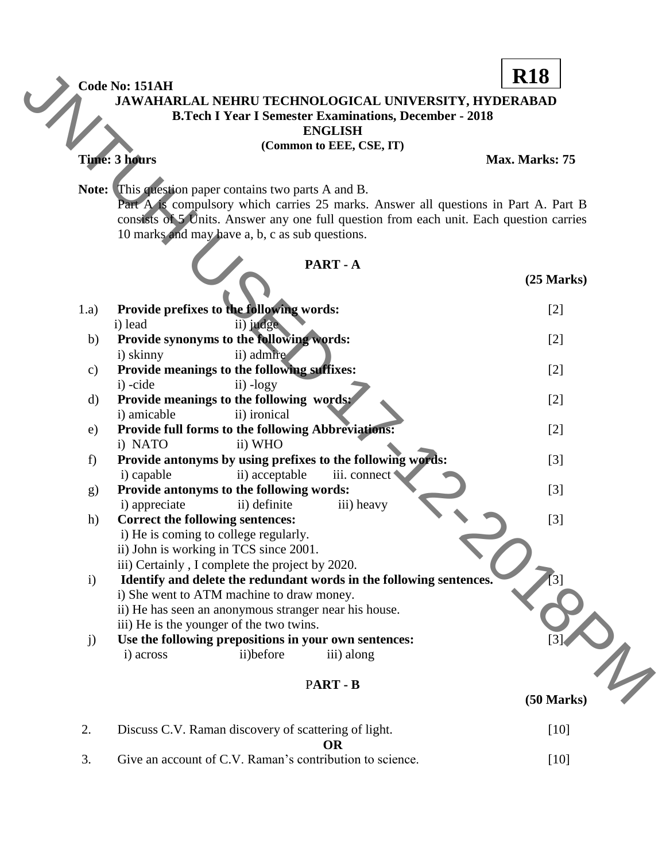## **Time: 3 hours Max. Marks: 75**

## **PART - A**

|               | Code No: 151AH                                                                                    | <b>R18</b>                         |
|---------------|---------------------------------------------------------------------------------------------------|------------------------------------|
|               | JAWAHARLAL NEHRU TECHNOLOGICAL UNIVERSITY, HYDERABAD                                              |                                    |
|               | <b>B.Tech I Year I Semester Examinations, December - 2018</b>                                     |                                    |
|               | <b>ENGLISH</b>                                                                                    |                                    |
|               | (Common to EEE, CSE, IT)                                                                          |                                    |
|               | <b>Time: 3 hours</b>                                                                              | Max. Marks: 75                     |
|               |                                                                                                   |                                    |
|               | <b>Note:</b> This question paper contains two parts A and B.                                      |                                    |
|               | Part A is compulsory which carries 25 marks. Answer all questions in Part A. Part B               |                                    |
|               | consists of 5 Units. Answer any one full question from each unit. Each question carries           |                                    |
|               | 10 marks and may have a, b, c as sub questions.                                                   |                                    |
|               | PART-A                                                                                            |                                    |
|               |                                                                                                   | $(25$ Marks $)$                    |
|               |                                                                                                   |                                    |
| 1.a)          | Provide prefixes to the following words:                                                          | $[2]$                              |
|               | ii) judge<br>i) lead                                                                              |                                    |
| b)            | Provide synonyms to the following words:                                                          | $[2]$                              |
|               | ii) admire<br>i) skinny                                                                           |                                    |
| $\mathbf{c})$ | Provide meanings to the following suffixes:                                                       | $[2]$                              |
|               | i) -cide<br>ii) -logy                                                                             |                                    |
| $\mathbf{d}$  | Provide meanings to the following words:                                                          | $[2]$                              |
|               | i) amicable<br>ii) ironical                                                                       |                                    |
| e)            | Provide full forms to the following Abbreviations:<br>ii) WHO<br>i) NATO                          | $[2]$                              |
| f)            | Provide antonyms by using prefixes to the following words:                                        | $[3]$                              |
|               | i) capable<br>ii) acceptable<br>iii. connect                                                      |                                    |
| g)            | Provide antonyms to the following words:                                                          | $[3]$                              |
|               | i) appreciate<br>ii) definite<br>iii) heavy                                                       |                                    |
| h)            | <b>Correct the following sentences:</b>                                                           | $[3]$                              |
|               | i) He is coming to college regularly.                                                             |                                    |
|               | ii) John is working in TCS since 2001.                                                            |                                    |
|               | iii) Certainly, I complete the project by 2020.                                                   |                                    |
| $\mathbf{i}$  | Identify and delete the redundant words in the following sentences.                               |                                    |
|               | i) She went to ATM machine to draw money.                                                         |                                    |
|               | ii) He has seen an anonymous stranger near his house.                                             |                                    |
| j)            | iii) He is the younger of the two twins.<br>Use the following prepositions in your own sentences: |                                    |
|               | ii)before<br>i) across<br>iii) along                                                              |                                    |
|               |                                                                                                   |                                    |
|               | PART - B                                                                                          |                                    |
|               |                                                                                                   | $\ddot{v}$<br>$(50 \text{ Marks})$ |
| 2.            | Discuss C.V. Raman discovery of scattering of light.                                              | $[10]$                             |
|               | <b>OR</b>                                                                                         |                                    |

3. Give an account of C.V. Raman's contribution to science. [10]